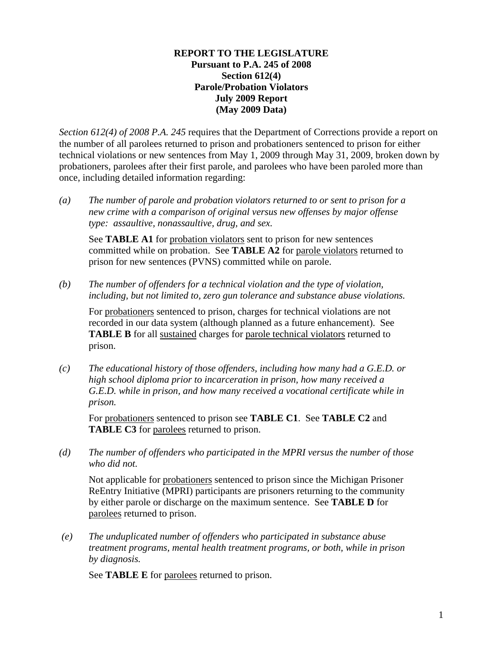### **REPORT TO THE LEGISLATURE Pursuant to P.A. 245 of 2008 Section 612(4) Parole/Probation Violators July 2009 Report (May 2009 Data)**

*Section 612(4) of 2008 P.A. 245* requires that the Department of Corrections provide a report on the number of all parolees returned to prison and probationers sentenced to prison for either technical violations or new sentences from May 1, 2009 through May 31, 2009, broken down by probationers, parolees after their first parole, and parolees who have been paroled more than once, including detailed information regarding:

*(a) The number of parole and probation violators returned to or sent to prison for a new crime with a comparison of original versus new offenses by major offense type: assaultive, nonassaultive, drug, and sex.* 

See **TABLE A1** for probation violators sent to prison for new sentences committed while on probation. See **TABLE A2** for parole violators returned to prison for new sentences (PVNS) committed while on parole.

*(b) The number of offenders for a technical violation and the type of violation, including, but not limited to, zero gun tolerance and substance abuse violations.* 

For probationers sentenced to prison, charges for technical violations are not recorded in our data system (although planned as a future enhancement). See **TABLE B** for all sustained charges for parole technical violators returned to prison.

*(c) The educational history of those offenders, including how many had a G.E.D. or high school diploma prior to incarceration in prison, how many received a G.E.D. while in prison, and how many received a vocational certificate while in prison.* 

For probationers sentenced to prison see **TABLE C1**. See **TABLE C2** and **TABLE C3** for parolees returned to prison.

*(d) The number of offenders who participated in the MPRI versus the number of those who did not.* 

Not applicable for probationers sentenced to prison since the Michigan Prisoner ReEntry Initiative (MPRI) participants are prisoners returning to the community by either parole or discharge on the maximum sentence. See **TABLE D** for parolees returned to prison.

 *(e) The unduplicated number of offenders who participated in substance abuse treatment programs, mental health treatment programs, or both, while in prison by diagnosis.* 

See **TABLE E** for parolees returned to prison.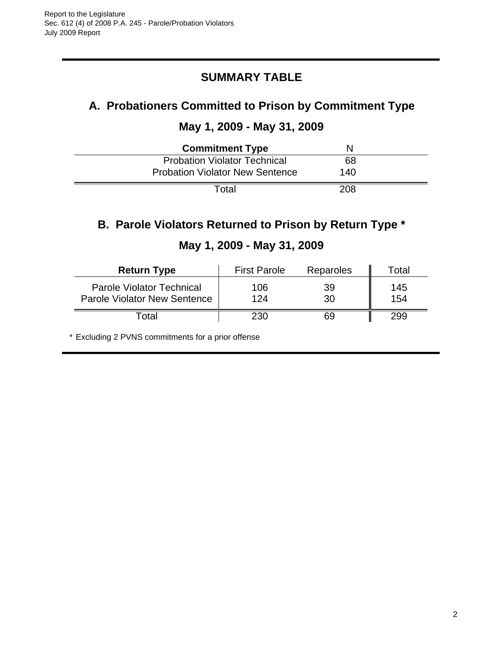# **SUMMARY TABLE**

# **A. Probationers Committed to Prison by Commitment Type**

## **May 1, 2009 - May 31, 2009**

| <b>Commitment Type</b>                 |     |  |
|----------------------------------------|-----|--|
| <b>Probation Violator Technical</b>    | 68  |  |
| <b>Probation Violator New Sentence</b> | 140 |  |
| Total                                  | 208 |  |

# **B. Parole Violators Returned to Prison by Return Type \***

| <b>Return Type</b>                                               | <b>First Parole</b> | Reparoles | Total      |
|------------------------------------------------------------------|---------------------|-----------|------------|
| <b>Parole Violator Technical</b><br>Parole Violator New Sentence | 106<br>124          | 39<br>30  | 145<br>154 |
| ⊺otal                                                            | 230                 | 69        | 299        |

# **May 1, 2009 - May 31, 2009**

\* Excluding 2 PVNS commitments for a prior offense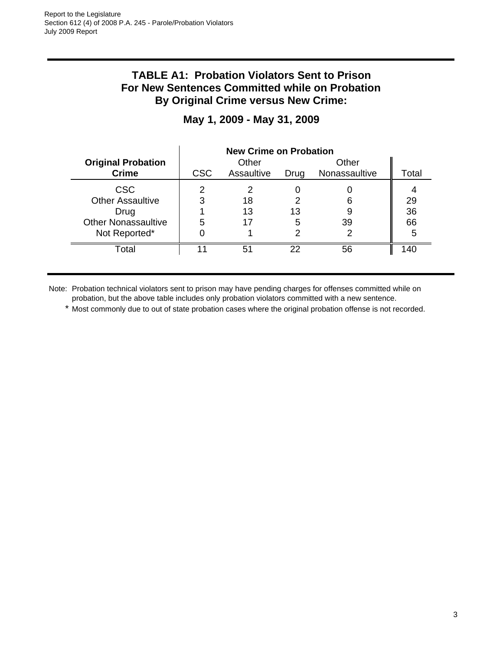## **TABLE A1: Probation Violators Sent to Prison For New Sentences Committed while on Probation By Original Crime versus New Crime:**

|                            | <b>New Crime on Probation</b> |            |      |               |       |
|----------------------------|-------------------------------|------------|------|---------------|-------|
| <b>Original Probation</b>  |                               | Other      |      | Other         |       |
| <b>Crime</b>               | <b>CSC</b>                    | Assaultive | Drug | Nonassaultive | Total |
| <b>CSC</b>                 |                               |            |      |               |       |
| <b>Other Assaultive</b>    | 3                             | 18         |      | 6             | 29    |
| Drug                       |                               | 13         | 13   |               | 36    |
| <b>Other Nonassaultive</b> | 5                             | 17         | 5    | 39            | 66    |
| Not Reported*              |                               |            |      |               | 5     |
| Total                      |                               | 51         | 22   | 56            | 40    |

# **May 1, 2009 - May 31, 2009**

Note: Probation technical violators sent to prison may have pending charges for offenses committed while on probation, but the above table includes only probation violators committed with a new sentence.

\* Most commonly due to out of state probation cases where the original probation offense is not recorded.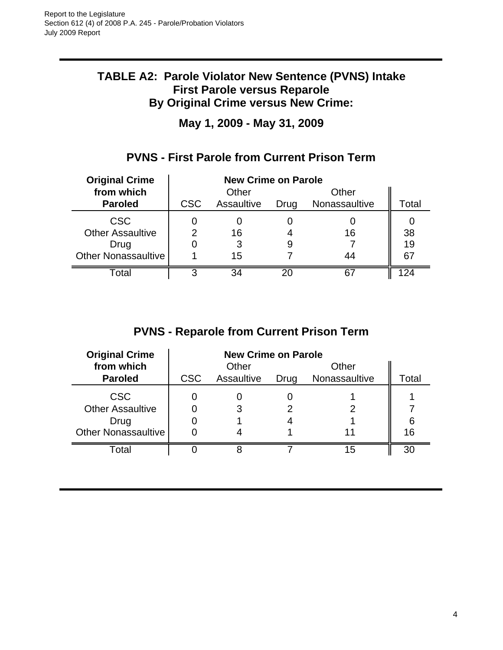## **TABLE A2: Parole Violator New Sentence (PVNS) Intake First Parole versus Reparole By Original Crime versus New Crime:**

**May 1, 2009 - May 31, 2009**

# **PVNS - First Parole from Current Prison Term**

| <b>Original Crime</b>   | <b>New Crime on Parole</b> |            |      |               |               |
|-------------------------|----------------------------|------------|------|---------------|---------------|
| from which              |                            | Other      |      | Other         |               |
| <b>Paroled</b>          | <b>CSC</b>                 | Assaultive | Drug | Nonassaultive | Total         |
| <b>CSC</b>              |                            |            |      |               |               |
| <b>Other Assaultive</b> |                            | 16         |      | 16            | 38            |
| Drug                    |                            | 3          | 9    |               | 19            |
| Other Nonassaultive     |                            | 15         |      | 44            | 67            |
| Total                   | 3                          | 34         | 20   | 67            | $\mathcal{D}$ |

# **PVNS - Reparole from Current Prison Term**

| <b>Original Crime</b>      | <b>New Crime on Parole</b> |            |      |               |       |
|----------------------------|----------------------------|------------|------|---------------|-------|
| from which                 |                            | Other      |      | Other         |       |
| <b>Paroled</b>             | <b>CSC</b>                 | Assaultive | Drug | Nonassaultive | Total |
| <b>CSC</b>                 |                            |            |      |               |       |
| <b>Other Assaultive</b>    |                            |            |      |               |       |
| Drug                       |                            |            |      |               | 6     |
| <b>Other Nonassaultive</b> |                            |            |      |               | 16    |
| Total                      |                            |            |      | 15            | 30    |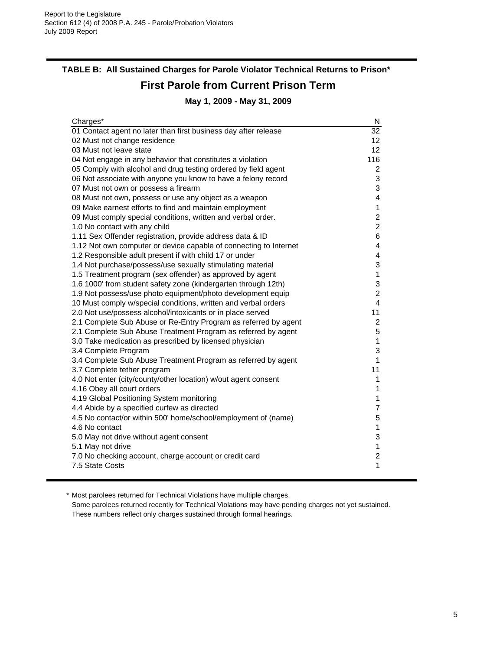# **TABLE B: All Sustained Charges for Parole Violator Technical Returns to Prison\* First Parole from Current Prison Term May 1, 2009 - May 31, 2009**

| Charges*                                                          | N                       |
|-------------------------------------------------------------------|-------------------------|
| 01 Contact agent no later than first business day after release   | $\overline{32}$         |
| 02 Must not change residence                                      | 12                      |
| 03 Must not leave state                                           | 12                      |
| 04 Not engage in any behavior that constitutes a violation        | 116                     |
| 05 Comply with alcohol and drug testing ordered by field agent    | $\overline{2}$          |
| 06 Not associate with anyone you know to have a felony record     | 3                       |
| 07 Must not own or possess a firearm                              | 3                       |
| 08 Must not own, possess or use any object as a weapon            | $\overline{\mathbf{4}}$ |
| 09 Make earnest efforts to find and maintain employment           | 1                       |
| 09 Must comply special conditions, written and verbal order.      | $\overline{c}$          |
| 1.0 No contact with any child                                     | $\overline{2}$          |
| 1.11 Sex Offender registration, provide address data & ID         | $6\phantom{1}$          |
| 1.12 Not own computer or device capable of connecting to Internet | 4                       |
| 1.2 Responsible adult present if with child 17 or under           | $\overline{\mathbf{4}}$ |
| 1.4 Not purchase/possess/use sexually stimulating material        | 3                       |
| 1.5 Treatment program (sex offender) as approved by agent         | 1                       |
| 1.6 1000' from student safety zone (kindergarten through 12th)    | 3                       |
| 1.9 Not possess/use photo equipment/photo development equip       | $\overline{c}$          |
| 10 Must comply w/special conditions, written and verbal orders    | $\overline{4}$          |
| 2.0 Not use/possess alcohol/intoxicants or in place served        | 11                      |
| 2.1 Complete Sub Abuse or Re-Entry Program as referred by agent   | $\overline{2}$          |
| 2.1 Complete Sub Abuse Treatment Program as referred by agent     | 5                       |
| 3.0 Take medication as prescribed by licensed physician           | 1                       |
| 3.4 Complete Program                                              | 3                       |
| 3.4 Complete Sub Abuse Treatment Program as referred by agent     | 1                       |
| 3.7 Complete tether program                                       | 11                      |
| 4.0 Not enter (city/county/other location) w/out agent consent    | 1                       |
| 4.16 Obey all court orders                                        | 1                       |
| 4.19 Global Positioning System monitoring                         | 1                       |
| 4.4 Abide by a specified curfew as directed                       | $\overline{7}$          |
| 4.5 No contact/or within 500' home/school/employment of (name)    | 5                       |
| 4.6 No contact                                                    | 1                       |
| 5.0 May not drive without agent consent                           | 3                       |
| 5.1 May not drive                                                 | 1                       |
| 7.0 No checking account, charge account or credit card            | $\overline{c}$          |
| 7.5 State Costs                                                   | 1                       |

\* Most parolees returned for Technical Violations have multiple charges.

Some parolees returned recently for Technical Violations may have pending charges not yet sustained. These numbers reflect only charges sustained through formal hearings.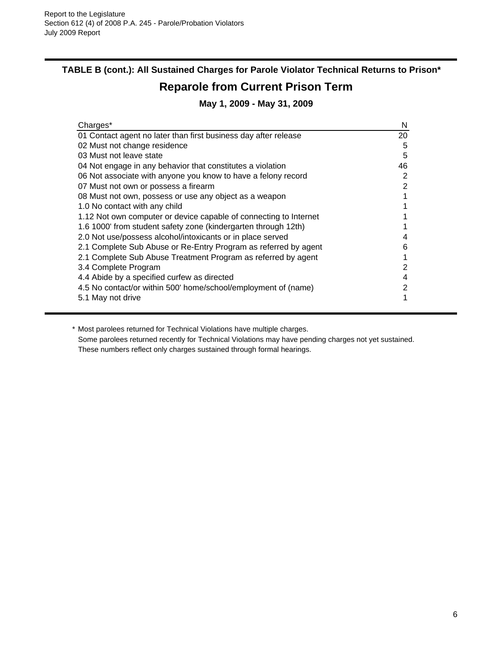# **TABLE B (cont.): All Sustained Charges for Parole Violator Technical Returns to Prison\***

# **Reparole from Current Prison Term**

## **May 1, 2009 - May 31, 2009**

| Charges*                                                          | N  |
|-------------------------------------------------------------------|----|
| 01 Contact agent no later than first business day after release   | 20 |
| 02 Must not change residence                                      | 5  |
| 03 Must not leave state                                           | 5  |
| 04 Not engage in any behavior that constitutes a violation        | 46 |
| 06 Not associate with anyone you know to have a felony record     | 2  |
| 07 Must not own or possess a firearm                              | 2  |
| 08 Must not own, possess or use any object as a weapon            |    |
| 1.0 No contact with any child                                     |    |
| 1.12 Not own computer or device capable of connecting to Internet |    |
| 1.6 1000' from student safety zone (kindergarten through 12th)    |    |
| 2.0 Not use/possess alcohol/intoxicants or in place served        | 4  |
| 2.1 Complete Sub Abuse or Re-Entry Program as referred by agent   | 6  |
| 2.1 Complete Sub Abuse Treatment Program as referred by agent     |    |
| 3.4 Complete Program                                              | 2  |
| 4.4 Abide by a specified curfew as directed                       | 4  |
| 4.5 No contact/or within 500' home/school/employment of (name)    | 2  |
| 5.1 May not drive                                                 |    |

\* Most parolees returned for Technical Violations have multiple charges. Some parolees returned recently for Technical Violations may have pending charges not yet sustained. These numbers reflect only charges sustained through formal hearings.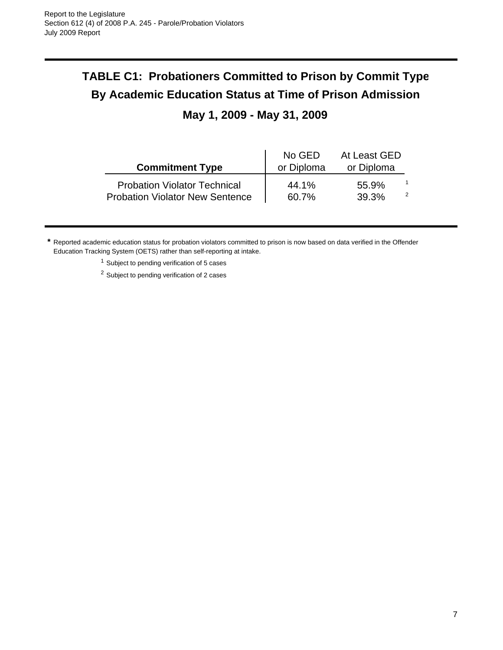# **TABLE C1: Probationers Committed to Prison by Commit Type By Academic Education Status at Time of Prison Admission**

# **May 1, 2009 - May 31, 2009**

| <b>Commitment Type</b>                 | No GED<br>or Diploma | At Least GED<br>or Diploma |  |
|----------------------------------------|----------------------|----------------------------|--|
| <b>Probation Violator Technical</b>    | 44.1%                | 55.9%                      |  |
| <b>Probation Violator New Sentence</b> | 60.7%                | 39.3%                      |  |

**\*** Reported academic education status for probation violators committed to prison is now based on data verified in the Offender Education Tracking System (OETS) rather than self-reporting at intake.

<sup>1</sup> Subject to pending verification of 5 cases

<sup>2</sup> Subject to pending verification of 2 cases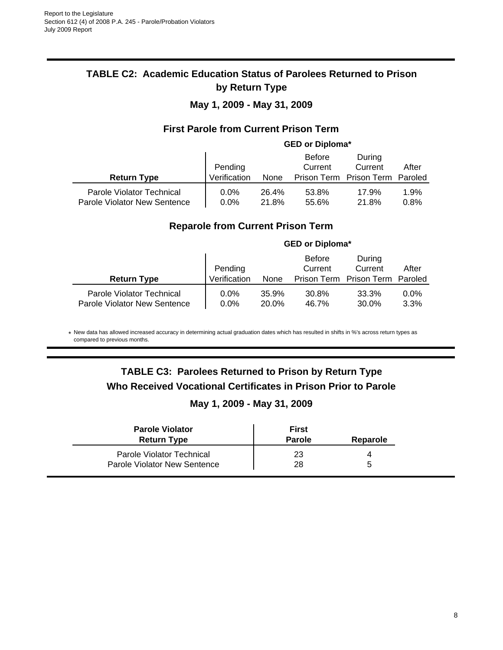## **TABLE C2: Academic Education Status of Parolees Returned to Prison by Return Type**

## **May 1, 2009 - May 31, 2009**

### **First Parole from Current Prison Term**

# **GED or Diploma\***

|                                                           |                    |                | <b>Before</b>  | During              |              |
|-----------------------------------------------------------|--------------------|----------------|----------------|---------------------|--------------|
|                                                           | Pending            |                | Current        | Current             | After        |
| <b>Return Type</b>                                        | Verification       | None           | Prison Term    | Prison Term Paroled |              |
| Parole Violator Technical<br>Parole Violator New Sentence | $0.0\%$<br>$0.0\%$ | 26.4%<br>21.8% | 53.8%<br>55.6% | 17.9%<br>21.8%      | 1.9%<br>0.8% |

### **Reparole from Current Prison Term**

|                                                           | <b>GED or Diploma*</b> |                |                          |                                 |                 |
|-----------------------------------------------------------|------------------------|----------------|--------------------------|---------------------------------|-----------------|
|                                                           | Pending                |                | <b>Before</b><br>Current | During<br>Current               | After           |
| <b>Return Type</b>                                        | Verification           | None           |                          | Prison Term Prison Term Paroled |                 |
| Parole Violator Technical<br>Parole Violator New Sentence | $0.0\%$<br>$0.0\%$     | 35.9%<br>20.0% | 30.8%<br>46.7%           | 33.3%<br>30.0%                  | $0.0\%$<br>3.3% |

\* New data has allowed increased accuracy in determining actual graduation dates which has resulted in shifts in %'s across return types as compared to previous months.

# **TABLE C3: Parolees Returned to Prison by Return Type Who Received Vocational Certificates in Prison Prior to Parole**

### **May 1, 2009 - May 31, 2009**

| <b>Parole Violator</b>       | First         |          |
|------------------------------|---------------|----------|
| <b>Return Type</b>           | <b>Parole</b> | Reparole |
| Parole Violator Technical    | 23            |          |
| Parole Violator New Sentence | 28            | ∽        |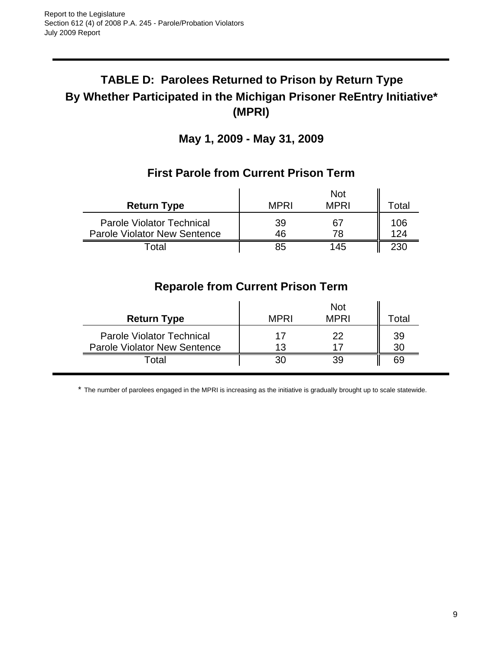# **TABLE D: Parolees Returned to Prison by Return Type By Whether Participated in the Michigan Prisoner ReEntry Initiative\* (MPRI)**

**May 1, 2009 - May 31, 2009**

|                                                                         |             | <b>Not</b>  |            |
|-------------------------------------------------------------------------|-------------|-------------|------------|
| <b>Return Type</b>                                                      | <b>MPRI</b> | <b>MPRI</b> | Total      |
| <b>Parole Violator Technical</b><br><b>Parole Violator New Sentence</b> | 39<br>46    | 67<br>78    | 106<br>124 |
| ั∩tal                                                                   | 85          | 145         | 230        |

## **First Parole from Current Prison Term**

# **Reparole from Current Prison Term**

| <b>Return Type</b>                  | MPRI | <b>Not</b><br><b>MPRI</b> | <sup>-</sup> otal |
|-------------------------------------|------|---------------------------|-------------------|
| <b>Parole Violator Technical</b>    |      | つつ                        | 39                |
| <b>Parole Violator New Sentence</b> | 13   |                           | 30                |
| ⊺otal                               |      |                           | 69                |

\* The number of parolees engaged in the MPRI is increasing as the initiative is gradually brought up to scale statewide.